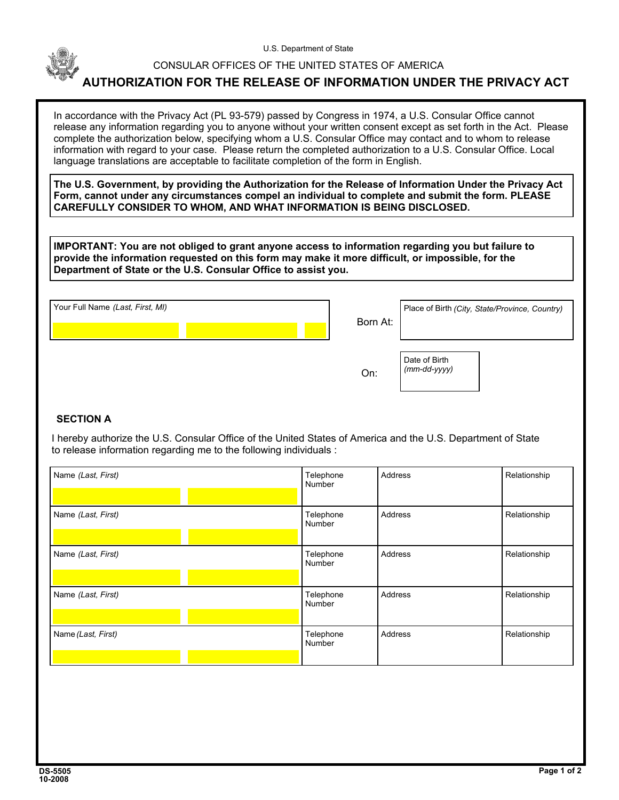

U.S. Department of State

## CONSULAR OFFICES OF THE UNITED STATES OF AMERICA

## **AUTHORIZATION FOR THE RELEASE OF INFORMATION UNDER THE PRIVACY ACT**

In accordance with the Privacy Act (PL 93-579) passed by Congress in 1974, a U.S. Consular Office cannot release any information regarding you to anyone without your written consent except as set forth in the Act. Please complete the authorization below, specifying whom a U.S. Consular Office may contact and to whom to release information with regard to your case. Please return the completed authorization to a U.S. Consular Office. Local language translations are acceptable to facilitate completion of the form in English.

**The U.S. Government, by providing the Authorization for the Release of Information Under the Privacy Act Form, cannot under any circumstances compel an individual to complete and submit the form. PLEASE CAREFULLY CONSIDER TO WHOM, AND WHAT INFORMATION IS BEING DISCLOSED.**

**IMPORTANT: You are not obliged to grant anyone access to information regarding you but failure to provide the information requested on this form may make it more difficult, or impossible, for the Department of State or the U.S. Consular Office to assist you.**

| Your Full Name (Last, First, MI) |  |  | Place of Birth (City, State/Province, Country) |  |
|----------------------------------|--|--|------------------------------------------------|--|
|                                  |  |  | Born At:                                       |  |

Date of Birth *(mm-dd-yyyy)*

On:

## **SECTION A**

 I hereby authorize the U.S. Consular Office of the United States of America and the U.S. Department of State to release information regarding me to the following individuals :

| Name (Last, First) | Telephone<br>Number | Address | Relationship |
|--------------------|---------------------|---------|--------------|
| Name (Last, First) | Telephone<br>Number | Address | Relationship |
| Name (Last, First) | Telephone<br>Number | Address | Relationship |
| Name (Last, First) | Telephone<br>Number | Address | Relationship |
| Name (Last, First) | Telephone<br>Number | Address | Relationship |